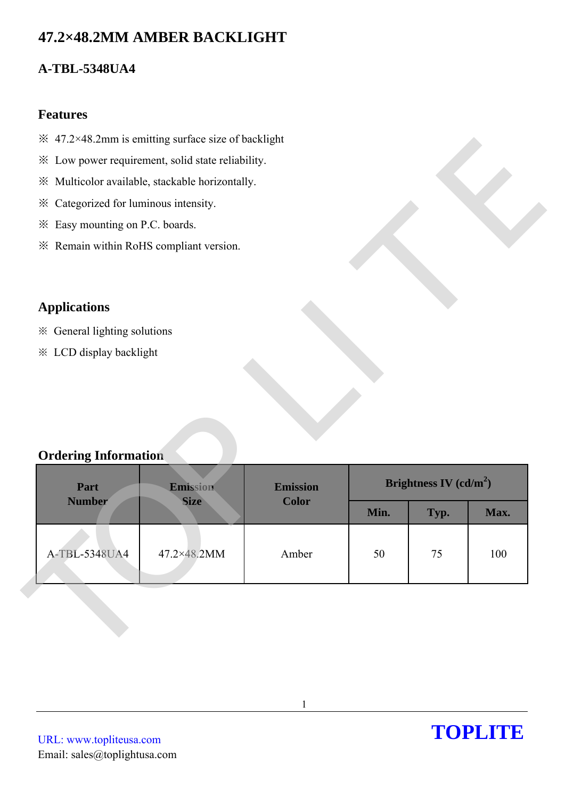# **47.2×48.2MM AMBER BACKLIGHT**

# **A-TBL-5348UA4**

### **Features**

- $\frac{1}{2}$  47.2×48.2mm is emitting surface size of backlight
- ※ Low power requirement, solid state reliability.
- ※ Multicolor available, stackable horizontally.
- ※ Categorized for luminous intensity.
- ※ Easy mounting on P.C. boards.
- ※ Remain within RoHS compliant version.

## **Applications**

## **Ordering Information**

|                                         | * Low power requirement, solid state reliability. |                                 |      |                          |      |
|-----------------------------------------|---------------------------------------------------|---------------------------------|------|--------------------------|------|
|                                         | ※ Multicolor available, stackable horizontally.   |                                 |      |                          |      |
| * Categorized for luminous intensity.   |                                                   |                                 |      |                          |      |
| * Easy mounting on P.C. boards.         |                                                   |                                 |      |                          |      |
| * Remain within RoHS compliant version. |                                                   |                                 |      |                          |      |
|                                         |                                                   |                                 |      |                          |      |
| <b>Applications</b>                     |                                                   |                                 |      |                          |      |
| * General lighting solutions            |                                                   |                                 |      |                          |      |
|                                         |                                                   |                                 |      |                          |      |
|                                         |                                                   |                                 |      |                          |      |
| * LCD display backlight                 |                                                   |                                 |      |                          |      |
|                                         |                                                   |                                 |      |                          |      |
|                                         |                                                   |                                 |      |                          |      |
|                                         |                                                   |                                 |      |                          |      |
|                                         |                                                   |                                 |      |                          |      |
| <b>Ordering Information</b>             |                                                   |                                 |      |                          |      |
|                                         |                                                   |                                 |      |                          |      |
| Part<br><b>Number</b>                   | Emission<br><b>Size</b>                           | <b>Emission</b><br><b>Color</b> |      | Brightness IV $(cd/m^2)$ |      |
|                                         |                                                   |                                 | Min. | Typ.                     | Max. |
|                                         |                                                   |                                 |      |                          |      |
| A-TBL-5348UA4                           | 47.2×48.2MM                                       | Amber                           | 50   | 75                       | 100  |

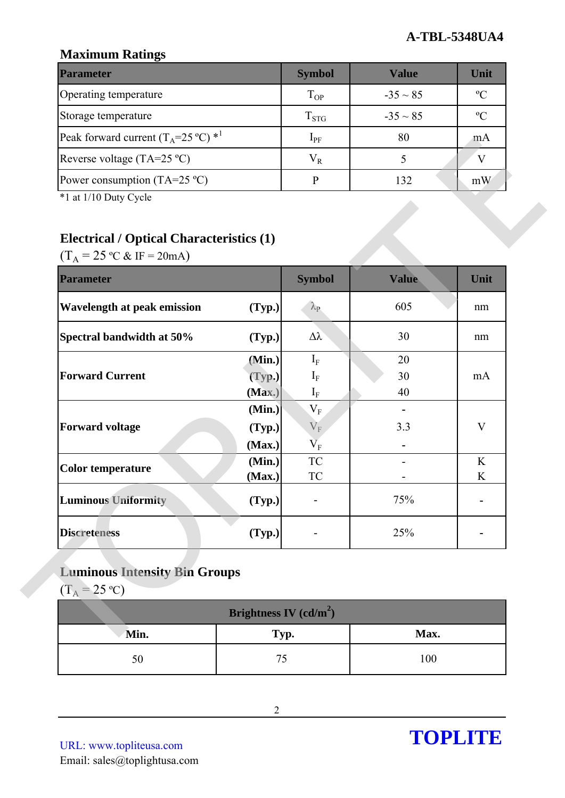## **Maximum Ratings**

| <b>Parameter</b>                                        | <b>Symbol</b> | Value         | Unit          |
|---------------------------------------------------------|---------------|---------------|---------------|
| Operating temperature                                   | $T_{OP}$      | $-35 \sim 85$ | $\mathcal{O}$ |
| Storage temperature                                     | $T_{STG}$     | $-35 \sim 85$ | $\mathcal{C}$ |
| Peak forward current $(T_A=25 \degree C)$ <sup>*1</sup> | $1_{\rm PF}$  | 80            | m A           |
| Reverse voltage (TA=25 $^{\circ}$ C)                    | $\rm V_R$     |               |               |
| Power consumption (TA=25 $^{\circ}$ C)                  |               | 132           | mW            |

# **Electrical / Optical Characteristics (1)**

| Peak forward current $(1_A=25 \text{ C})$             |                          | $1_{PF}$                                      | δU    | <b>MA</b>    |
|-------------------------------------------------------|--------------------------|-----------------------------------------------|-------|--------------|
| Reverse voltage (TA=25 °C)                            |                          | $\rm V_R$                                     | 5     | $\mathbf V$  |
| Power consumption (TA=25 $^{\circ}$ C)                |                          | $\, {\bf p}$                                  | 132   | mW           |
| *1 at 1/10 Duty Cycle                                 |                          |                                               |       |              |
|                                                       |                          |                                               |       |              |
| <b>Electrical / Optical Characteristics (1)</b>       |                          |                                               |       |              |
| $(T_A = 25 \text{ °C} \& \text{ IF} = 20 \text{ mA})$ |                          |                                               |       |              |
| <b>Parameter</b>                                      |                          | <b>Symbol</b>                                 | Value | Unit         |
| <b>Wavelength at peak emission</b>                    | (Typ.)                   | $\lambda_{\rm P}$                             | 605   | nm           |
| Spectral bandwidth at 50%                             | (Typ.)                   | $\Delta \lambda$                              | 30    | nm           |
|                                                       | (Min.)                   | $\mathrm{I}_\mathrm{F}$                       | 20    |              |
| <b>Forward Current</b>                                | (Typ.)                   | $I_F$                                         | 30    | mA           |
|                                                       | (Max.)                   | $I_F$                                         | 40    |              |
|                                                       | (Min.)                   | $\rm V_F$                                     |       |              |
| <b>Forward voltage</b>                                | (Typ.)<br>(Max.)         | $V_{F}$<br>$\overline{\mathbf{V}}_{\text{F}}$ | 3.3   | $\mathbf{V}$ |
|                                                       | (Min.)                   | <b>TC</b>                                     |       | K            |
| <b>Color temperature</b>                              | (Max.)                   | ${\rm TC}$                                    |       | K            |
| <b>Luminous Uniformity</b>                            | (Typ.)                   |                                               | 75%   |              |
| <b>Discreteness</b>                                   | (Typ.)                   |                                               | 25%   |              |
|                                                       |                          |                                               |       |              |
| <b>Luminous Intensity Bin Groups</b>                  |                          |                                               |       |              |
| $(T_A = 25 \text{ °C})$                               |                          |                                               |       |              |
|                                                       | Brightness IV $(cd/m^2)$ |                                               |       |              |
| Min.                                                  | Typ.                     |                                               | Max.  |              |
| 50                                                    | 75                       |                                               | 100   |              |

# **Luminous Intensity Bin Groups**

| Brightness IV (cd/m <sup>2</sup> ) |      |      |  |  |
|------------------------------------|------|------|--|--|
| Min.                               | Typ. | Max. |  |  |
|                                    |      | 100  |  |  |

URL: www.topliteusa.com Email: sales@toplightusa.com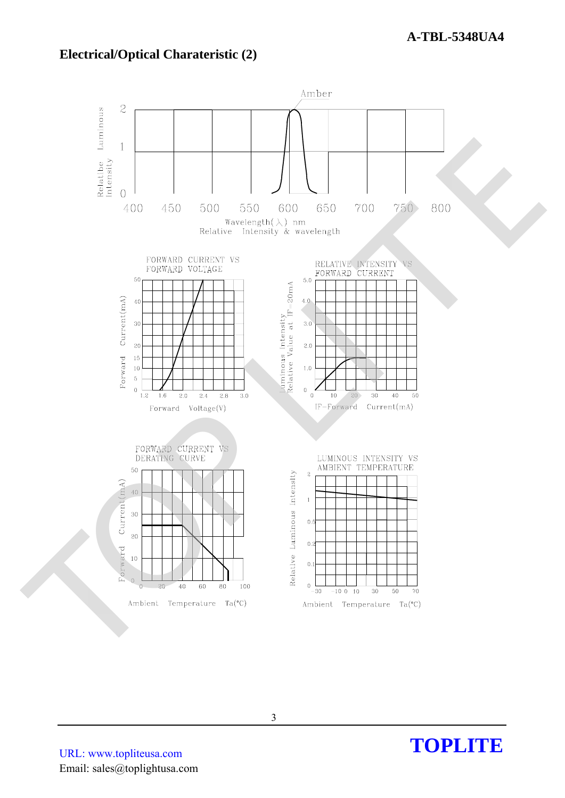### **Electrical/Optical Charateristic (2)**



TOPLITE

URL: www.topliteusa.com Email: sales@toplightusa.com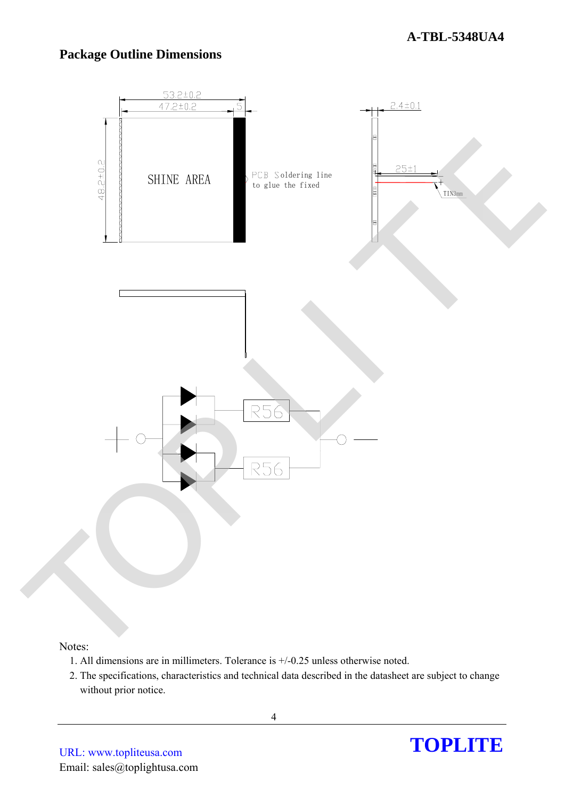# **Package Outline Dimensions**



#### Notes:

- 1. All dimensions are in millimeters. Tolerance is +/-0.25 unless otherwise noted.
- 2. The specifications, characteristics and technical data described in the datasheet are subject to change without prior notice.